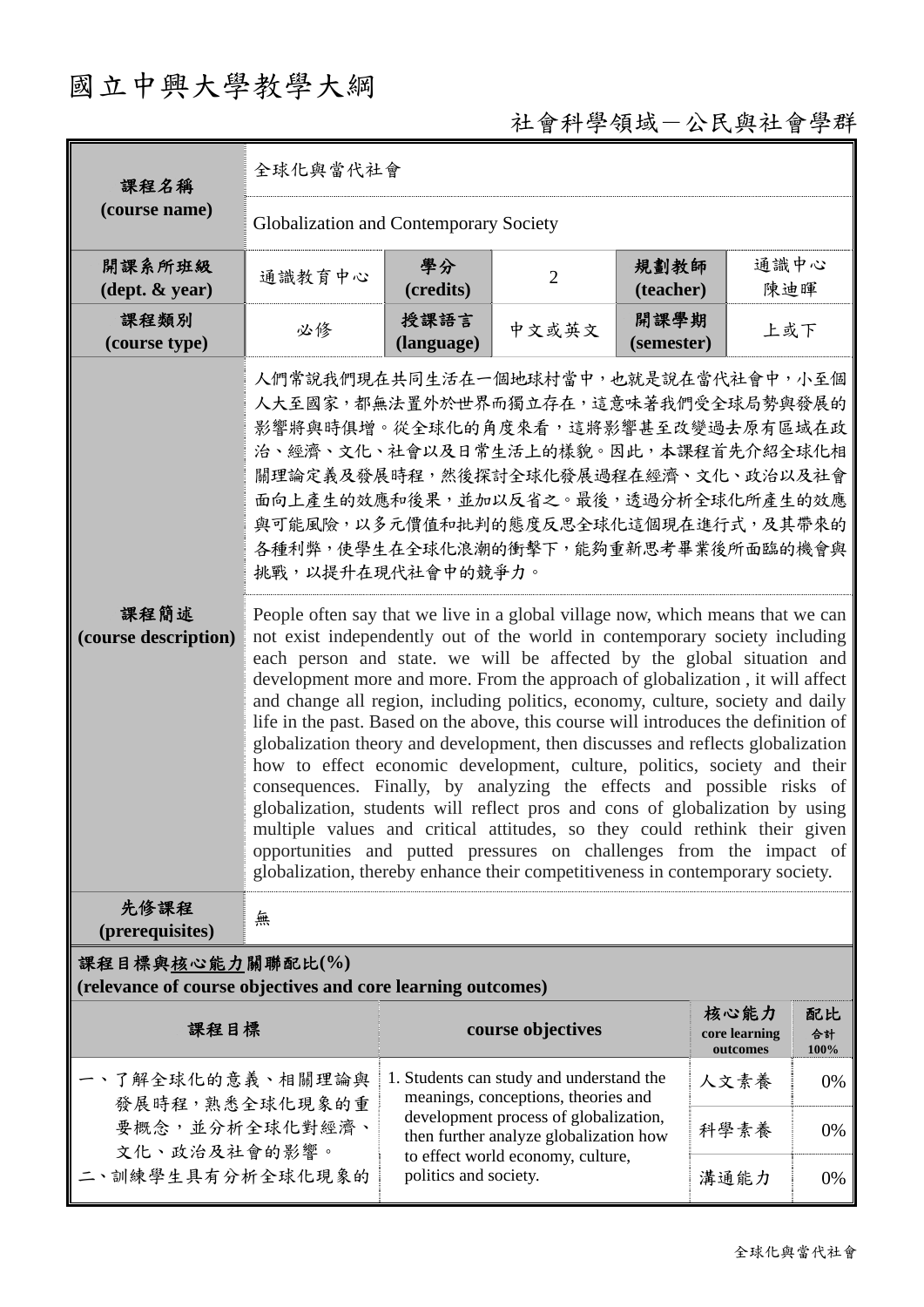# 國立中興大學教學大綱

# 社會科學領域-公民與社會學群

| 課程名稱                                                                                     | 全球化與當代社會                                                                                                                                                                                                                                                                                                                                                                                                                                                                                                                                                                                                                                                                                                                                                                                                                                                                                                                                                                                                                                                                                                                                                                                                                                                                                                                 |                                                                                                                                                                                                                                  |                   |                    |                                   |                  |  |  |  |
|------------------------------------------------------------------------------------------|--------------------------------------------------------------------------------------------------------------------------------------------------------------------------------------------------------------------------------------------------------------------------------------------------------------------------------------------------------------------------------------------------------------------------------------------------------------------------------------------------------------------------------------------------------------------------------------------------------------------------------------------------------------------------------------------------------------------------------------------------------------------------------------------------------------------------------------------------------------------------------------------------------------------------------------------------------------------------------------------------------------------------------------------------------------------------------------------------------------------------------------------------------------------------------------------------------------------------------------------------------------------------------------------------------------------------|----------------------------------------------------------------------------------------------------------------------------------------------------------------------------------------------------------------------------------|-------------------|--------------------|-----------------------------------|------------------|--|--|--|
| (course name)                                                                            | Globalization and Contemporary Society                                                                                                                                                                                                                                                                                                                                                                                                                                                                                                                                                                                                                                                                                                                                                                                                                                                                                                                                                                                                                                                                                                                                                                                                                                                                                   |                                                                                                                                                                                                                                  |                   |                    |                                   |                  |  |  |  |
| 開課系所班級<br>$(\text{dept.} \& \text{ year})$                                               | 通識教育中心                                                                                                                                                                                                                                                                                                                                                                                                                                                                                                                                                                                                                                                                                                                                                                                                                                                                                                                                                                                                                                                                                                                                                                                                                                                                                                                   | 學分<br>(credits)                                                                                                                                                                                                                  | $\overline{2}$    | 規劃教師<br>(teacher)  | 通識中心<br>陳迪暉                       |                  |  |  |  |
| 課程類別<br>(course type)                                                                    | 必修                                                                                                                                                                                                                                                                                                                                                                                                                                                                                                                                                                                                                                                                                                                                                                                                                                                                                                                                                                                                                                                                                                                                                                                                                                                                                                                       | 授課語言<br>(language)                                                                                                                                                                                                               | 中文或英文             | 開課學期<br>(semester) | 上或下                               |                  |  |  |  |
| 課程簡述<br>(course description)                                                             | 人們常說我們現在共同生活在一個地球村當中,也就是說在當代社會中,小至個<br>人大至國家,都無法置外於世界而獨立存在,這意味著我們受全球局勢與發展的<br>影響將與時俱增。從全球化的角度來看,這將影響甚至改變過去原有區域在政<br>治、經濟、文化、社會以及日常生活上的樣貌。因此,本課程首先介紹全球化相<br>關理論定義及發展時程,然後探討全球化發展過程在經濟、文化、政治以及社會<br>面向上產生的效應和後果,並加以反省之。最後,透過分析全球化所產生的效應<br>與可能風險,以多元價值和批判的態度反思全球化這個現在進行式,及其帶來的<br>各種利弊,使學生在全球化浪潮的衝擊下,能夠重新思考畢業後所面臨的機會與<br>挑戰,以提升在現代社會中的競爭力。<br>People often say that we live in a global village now, which means that we can<br>not exist independently out of the world in contemporary society including<br>each person and state. we will be affected by the global situation and<br>development more and more. From the approach of globalization, it will affect<br>and change all region, including politics, economy, culture, society and daily<br>life in the past. Based on the above, this course will introduces the definition of<br>globalization theory and development, then discusses and reflects globalization<br>how to effect economic development, culture, politics, society and their<br>consequences. Finally, by analyzing the effects and possible risks of<br>globalization, students will reflect pros and cons of globalization by using<br>multiple values and critical attitudes, so they could rethink their given<br>opportunities and putted pressures on challenges from the impact of |                                                                                                                                                                                                                                  |                   |                    |                                   |                  |  |  |  |
| 先修課程<br>(prerequisites)                                                                  | 無                                                                                                                                                                                                                                                                                                                                                                                                                                                                                                                                                                                                                                                                                                                                                                                                                                                                                                                                                                                                                                                                                                                                                                                                                                                                                                                        |                                                                                                                                                                                                                                  |                   |                    |                                   |                  |  |  |  |
| 課程目標與核心能力關聯配比(%)<br>(relevance of course objectives and core learning outcomes)          |                                                                                                                                                                                                                                                                                                                                                                                                                                                                                                                                                                                                                                                                                                                                                                                                                                                                                                                                                                                                                                                                                                                                                                                                                                                                                                                          |                                                                                                                                                                                                                                  |                   |                    |                                   |                  |  |  |  |
| 課程目標                                                                                     |                                                                                                                                                                                                                                                                                                                                                                                                                                                                                                                                                                                                                                                                                                                                                                                                                                                                                                                                                                                                                                                                                                                                                                                                                                                                                                                          |                                                                                                                                                                                                                                  | course objectives |                    | 核心能力<br>core learning<br>outcomes | 配比<br>合計<br>100% |  |  |  |
| 一、了解全球化的意義、相關理論與<br>發展時程,熟悉全球化現象的重<br>要概念,並分析全球化對經濟、<br>文化、政治及社會的影響。<br>二、訓練學生具有分析全球化現象的 |                                                                                                                                                                                                                                                                                                                                                                                                                                                                                                                                                                                                                                                                                                                                                                                                                                                                                                                                                                                                                                                                                                                                                                                                                                                                                                                          | 1. Students can study and understand the<br>meanings, conceptions, theories and<br>development process of globalization,<br>then further analyze globalization how<br>to effect world economy, culture,<br>politics and society. |                   |                    | 人文素養                              | 0%               |  |  |  |
|                                                                                          |                                                                                                                                                                                                                                                                                                                                                                                                                                                                                                                                                                                                                                                                                                                                                                                                                                                                                                                                                                                                                                                                                                                                                                                                                                                                                                                          |                                                                                                                                                                                                                                  |                   | 科學素養               | 0%                                |                  |  |  |  |
|                                                                                          |                                                                                                                                                                                                                                                                                                                                                                                                                                                                                                                                                                                                                                                                                                                                                                                                                                                                                                                                                                                                                                                                                                                                                                                                                                                                                                                          |                                                                                                                                                                                                                                  |                   | 溝通能力               | 0%                                |                  |  |  |  |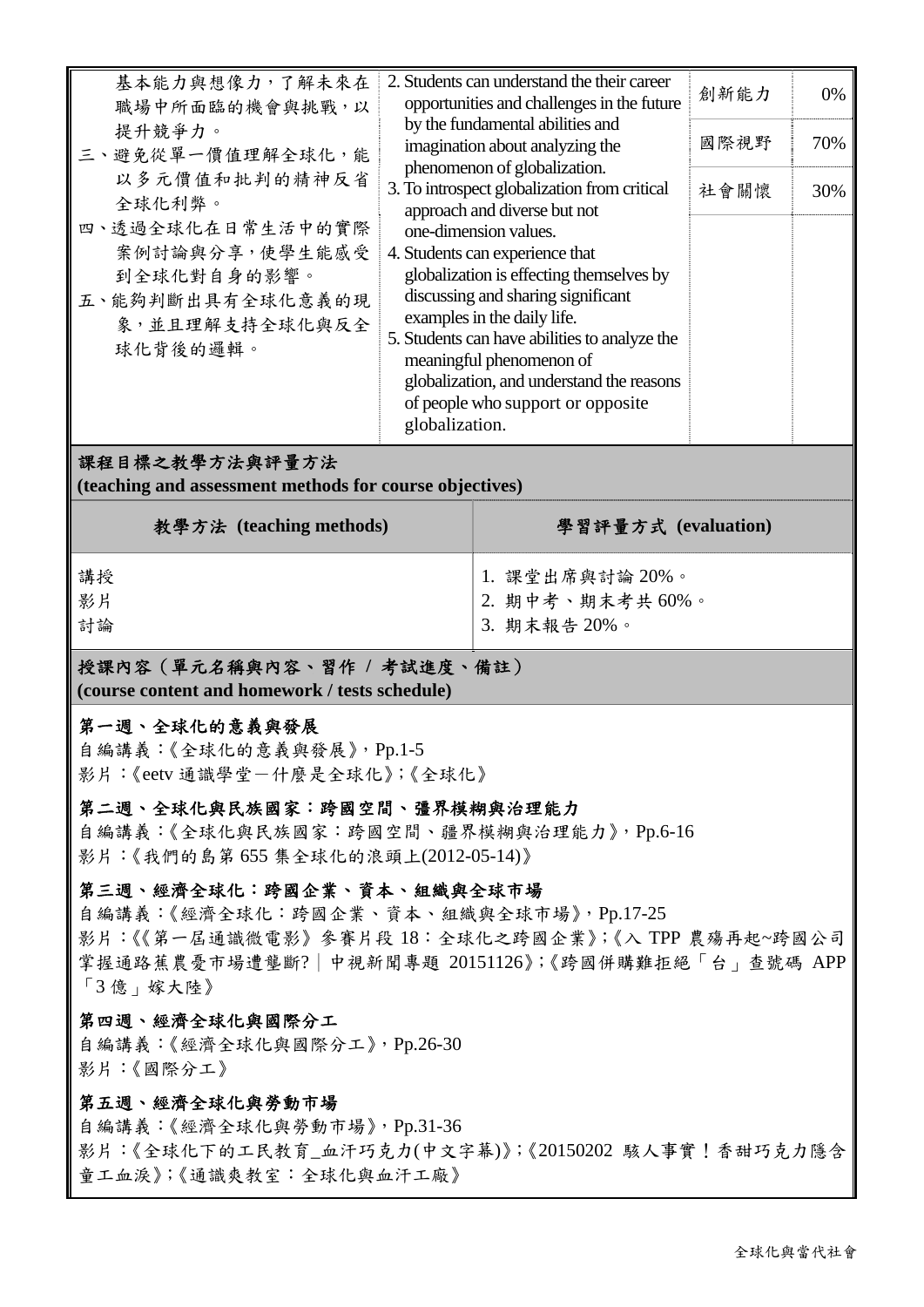| 教學方法 (teaching methods)                                                                                                                                                         |                | 學習評量方式 (evaluation)                                                                                                                                                                                                                                                                                                                                                                                                                                                                                                                                                           |                      |                  |  |  |  |  |
|---------------------------------------------------------------------------------------------------------------------------------------------------------------------------------|----------------|-------------------------------------------------------------------------------------------------------------------------------------------------------------------------------------------------------------------------------------------------------------------------------------------------------------------------------------------------------------------------------------------------------------------------------------------------------------------------------------------------------------------------------------------------------------------------------|----------------------|------------------|--|--|--|--|
| 課程目標之教學方法與評量方法<br>(teaching and assessment methods for course objectives)                                                                                                       |                |                                                                                                                                                                                                                                                                                                                                                                                                                                                                                                                                                                               |                      |                  |  |  |  |  |
| 職場中所面臨的機會與挑戰,以<br>提升競爭力。<br>三、避免從單一價值理解全球化,能<br>以多元價值和批判的精神反省<br>全球化利弊。<br>四、透過全球化在日常生活中的實際<br>案例討論與分享, 使學生能感受<br>到全球化對自身的影響。<br>五、能夠判斷出具有全球化意義的現<br>象,並且理解支持全球化與反全<br>球化背後的邏輯。 | globalization. | opportunities and challenges in the future<br>by the fundamental abilities and<br>imagination about analyzing the<br>phenomenon of globalization.<br>3. To introspect globalization from critical<br>approach and diverse but not<br>one-dimension values.<br>4. Students can experience that<br>globalization is effecting themselves by<br>discussing and sharing significant<br>examples in the daily life.<br>5. Students can have abilities to analyze the<br>meaningful phenomenon of<br>globalization, and understand the reasons<br>of people who support or opposite | 創新能力<br>國際視野<br>社會關懷 | 0%<br>70%<br>30% |  |  |  |  |
| 基本能力與想像力,了解未來在                                                                                                                                                                  |                | 2. Students can understand the their career                                                                                                                                                                                                                                                                                                                                                                                                                                                                                                                                   |                      |                  |  |  |  |  |

| 講授<br>影片<br>計論 | 1. 課堂出席與討論 20%。<br>2. 期中考、期末考共60%。<br>  3. 期末報告 20%。 |
|----------------|------------------------------------------------------|
|                |                                                      |

# 授課內容(單元名稱與內容、習作 **/** 考試進度、備註)

**(course content and homework / tests schedule)** 

# 第一週、全球化的意義與發展

自編講義:《全球化的意義與發展》,Pp.1-5 影片:《eetv 通識學堂-什麼是全球化》;《全球化》

### 第二週、全球化與民族國家:跨國空間、彊界模糊與治理能力

自編講義:《全球化與民族國家:跨國空間、疆界模糊與治理能力》,Pp.6-16 影片:《我們的島第 655 集全球化的浪頭上(2012-05-14)》

# 第三週、經濟全球化:跨國企業、資本、組織與全球市場

自編講義:《經濟全球化:跨國企業、資本、組織與全球市場》,Pp.17-25 影片:《《第一屆通識微電影》參賽片段 18:全球化之跨國企業》;《入 TPP 農殤再起~跨國公司 掌握通路蕉農憂市場遭壟斷?│中視新聞專題 20151126》;《跨國併購難拒絕「台」查號碼 APP 「3 億」嫁大陸》

# 第四週、經濟全球化與國際分工

自編講義:《經濟全球化與國際分工》,Pp.26-30 影片:《國際分工》

# 第五週、經濟全球化與勞動市場

自編講義:《經濟全球化與勞動市場》,Pp.31-36 影片:《全球化下的工民教育\_血汗巧克力(中文字幕)》;《20150202 駭人事實!香甜巧克力隱含 童工血淚》;《通識爽教室:全球化與血汗工廠》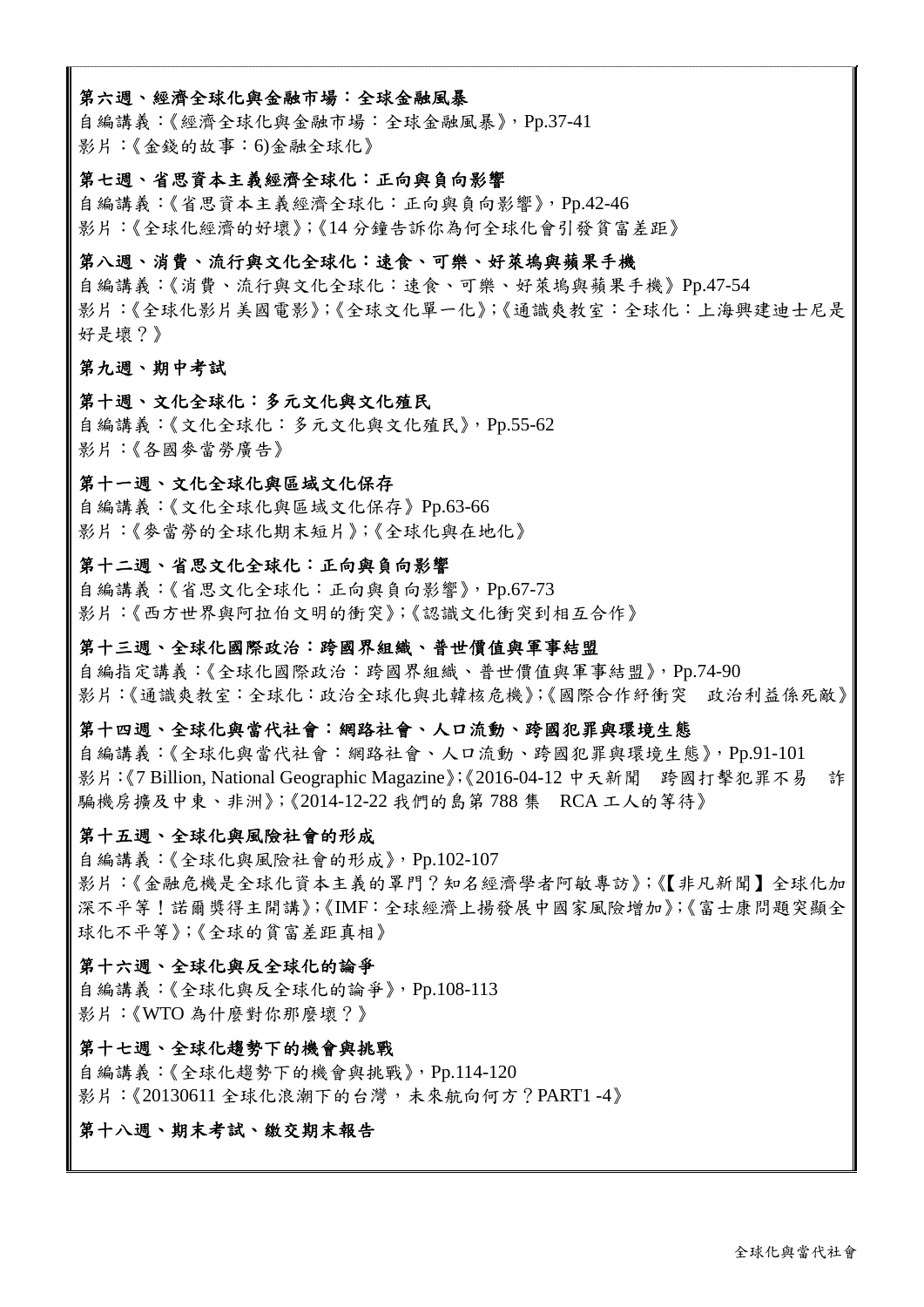#### 第六週、經濟全球化與金融市場:全球金融風暴

自編講義:《經濟全球化與金融市場:全球金融風暴》,Pp.37-41 影片:《金錢的故事:6)金融全球化》

#### 第七週、省思資本主義經濟全球化:正向與負向影響

自編講義:《省思資本主義經濟全球化:正向與負向影響》,Pp.42-46 影片:《全球化經濟的好壞》;《14 分鐘告訴你為何全球化會引發貧富差距》

#### 第八週、消費、流行與文化全球化:速食、可樂、好萊塢與蘋果手機

自編講義:《消費、流行與文化全球化:速食、可樂、好萊塢與蘋果手機》Pp.47-54 影片:《全球化影片美國電影》;《全球文化單一化》;《通識爽教室:全球化:上海興建迪士尼是 好是壞?》

#### 第九週、期中考試

#### 第十週、文化全球化:多元文化與文化殖民

自編講義:《文化全球化:多元文化與文化殖民》,Pp.55-62 影片:《各國麥當勞廣告》

#### 第十一週、文化全球化與區域文化保存

自編講義:《文化全球化與區域文化保存》Pp.63-66 影片:《麥當勞的全球化期末短片》;《全球化與在地化》

#### 第十二週、省思文化全球化:正向與負向影響

自編講義:《省思文化全球化:正向與負向影響》,Pp.67-73 影片:《西方世界與阿拉伯文明的衝突》;《認識文化衝突到相互合作》

#### 第十三週、全球化國際政治:跨國界組織、普世價值與軍事結盟

自編指定講義:《全球化國際政治:跨國界組織、普世價值與軍事結盟》,Pp.74-90 影片:《通識爽教室:全球化:政治全球化與北韓核危機》;《國際合作紓衝突 政治利益係死敵》

#### 第十四週、全球化與當代社會:網路社會、人口流動、跨國犯罪與環境生態

自編講義:《全球化與當代社會:網路社會、人口流動、跨國犯罪與環境生態》,Pp.91-101 影片:《7 Billion, National Geographic Magazine》;《2016-04-12 中天新聞 跨國打擊犯罪不易 詐 騙機房擴及中東、非洲》;《2014-12-22 我們的島第 788 集 RCA 工人的等待》

#### 第十五週、全球化與風險社會的形成

自編講義:《全球化與風險社會的形成》,Pp.102-107 影片:《金融危機是全球化資本主義的罩門?知名經濟學者阿敏專訪》;《【非凡新聞】全球化加 深不平等!諾爾獎得主開講》;《IMF:全球經濟上揚發展中國家風險增加》;《富士康問題突顯全 球化不平等》;《全球的貧富差距真相》

#### 第十六週、全球化與反全球化的論爭

自編講義:《全球化與反全球化的論爭》,Pp.108-113 影片:《WTO 為什麼對你那麼壞?》

#### 第十七週、全球化趨勢下的機會與挑戰

自編講義:《全球化趨勢下的機會與挑戰》,Pp.114-120 影片: 《20130611 全球化浪潮下的台灣,未來航向何方? PART1 -4》

#### 第十八週、期末考試、繳交期末報告